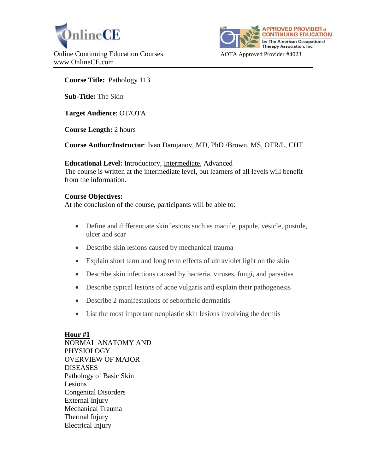



## **Course Title:** Pathology 113

**Sub-Title:** The Skin

**Target Audience**: OT/OTA

**Course Length:** 2 hours

**Course Author/Instructor**: Ivan Damjanov, MD, PhD /Brown, MS, OTR/L, CHT

**Educational Level:** Introductory, Intermediate, Advanced The course is written at the intermediate level, but learners of all levels will benefit from the information.

## **Course Objectives:**

At the conclusion of the course, participants will be able to:

- Define and differentiate skin lesions such as macule, papule, vesicle, pustule, ulcer and scar
- Describe skin lesions caused by mechanical trauma
- Explain short term and long term effects of ultraviolet light on the skin
- Describe skin infections caused by bacteria, viruses, fungi, and parasites
- Describe typical lesions of acne vulgaris and explain their pathogenesis
- Describe 2 manifestations of seborrheic dermatitis
- List the most important neoplastic skin lesions involving the dermis

# **Hour #1**

NORMAL ANATOMY AND PHYSIOLOGY OVERVIEW OF MAJOR DISEASES Pathology of Basic Skin Lesions Congenital Disorders External Injury Mechanical Trauma Thermal Injury Electrical Injury